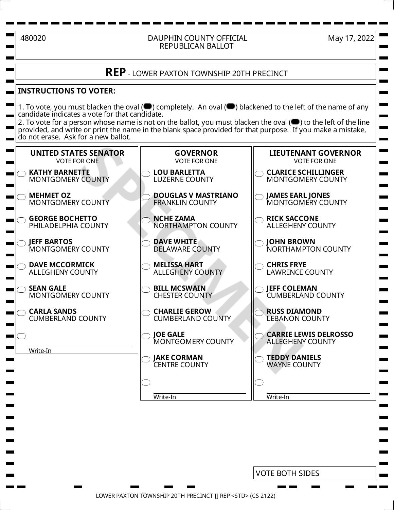## 480020 DAUPHIN COUNTY OFFICIAL REPUBLICAN BALLOT

## **REP**- LOWER PAXTON TOWNSHIP 20TH PRECINCT

## **INSTRUCTIONS TO VOTER:**

1. To vote, you must blacken the oval ( $\blacksquare$ ) completely. An oval ( $\blacksquare$ ) blackened to the left of the name of any candidate indicates a vote for that candidate.

2. To vote for a person whose name is not on the ballot, you must blacken the oval  $($ **)** to the left of the line provided, and write or print the name in the blank space provided for that purpose. If you make a mistake, do not erase. Ask for a new ballot.



VOTE BOTH SIDES